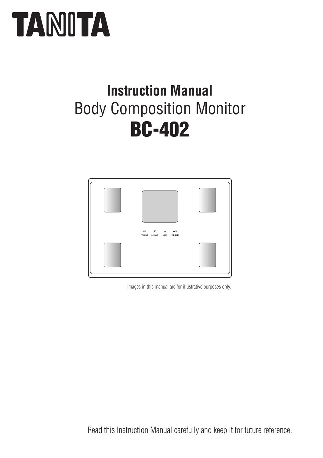# **TANITA**

# BC-402 Body Composition Monitor **Instruction Manual**



Images in this manual are for illustrative purposes only.

Read this Instruction Manual carefully and keep it for future reference.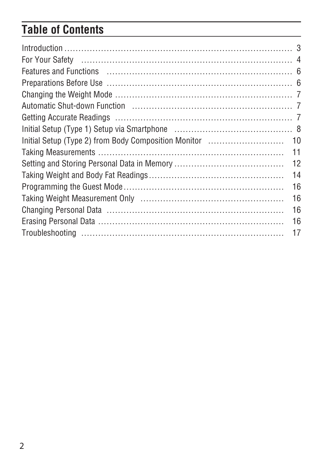## **Table of Contents**

| 11 |
|----|
| 12 |
| 14 |
| 16 |
| 16 |
| 16 |
| 16 |
| 17 |
|    |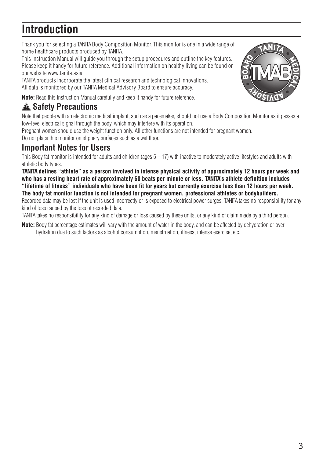### **Introduction**

Thank you for selecting a TANITA Body Composition Monitor. This monitor is one in a wide range of home healthcare products produced by TANITA.

This Instruction Manual will guide you through the setup procedures and outline the key features. Please keep it handy for future reference. Additional information on healthy living can be found on our website www.tanita.asia.

TANITA products incorporate the latest clinical research and technological innovations. All data is monitored by our TANITA Medical Advisory Board to ensure accuracy.

**Note:** Read this Instruction Manual carefully and keep it handy for future reference.

### **Safety Precautions**

Note that people with an electronic medical implant, such as a pacemaker, should not use a Body Composition Monitor as it passes a low-level electrical signal through the body, which may interfere with its operation.

Pregnant women should use the weight function only. All other functions are not intended for pregnant women.

Do not place this monitor on slippery surfaces such as a wet floor.

### **Important Notes for Users**

This Body fat monitor is intended for adults and children (ages 5 – 17) with inactive to moderately active lifestyles and adults with athletic body types.

**TANITA defines "athlete" as a person involved in intense physical activity of approximately 12 hours per week and who has a resting heart rate of approximately 60 beats per minute or less. TANITA's athlete definition includes "lifetime of fitness" individuals who have been fit for years but currently exercise less than 12 hours per week. The body fat monitor function is not intended for pregnant women, professional athletes or bodybuilders.** Recorded data may be lost if the unit is used incorrectly or is exposed to electrical power surges. TANITA takes no responsibility for any kind of loss caused by the loss of recorded data.

TANITA takes no responsibility for any kind of damage or loss caused by these units, or any kind of claim made by a third person.

**Note:** Body fat percentage estimates will vary with the amount of water in the body, and can be affected by dehydration or overhydration due to such factors as alcohol consumption, menstruation, illness, intense exercise, etc.

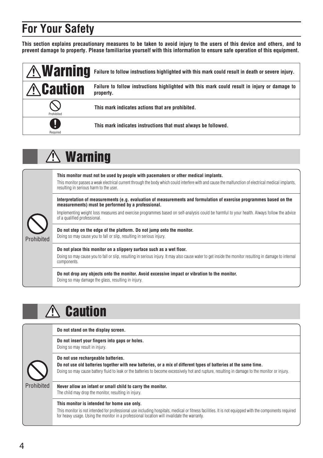### **For Your Safety**

**This section explains precautionary measures to be taken to avoid injury to the users of this device and others, and to prevent damage to property. Please familiarise yourself with this information to ensure safe operation of this equipment.**

| $\land$ Warning  | Failure to follow instructions highlighted with this mark could result in death or severe injury.          |
|------------------|------------------------------------------------------------------------------------------------------------|
| <b>A</b> Caution | Failure to follow instructions highlighted with this mark could result in injury or damage to<br>property. |
| Prohibited       | This mark indicates actions that are prohibited.                                                           |
| D<br>Required    | This mark indicates instructions that must always be followed.                                             |

# Warning

| Prohibited | This monitor must not be used by people with pacemakers or other medical implants.<br>This monitor passes a weak electrical current through the body which could interfere with and cause the malfunction of electrical medical implants,<br>resulting in serious harm to the user. |
|------------|-------------------------------------------------------------------------------------------------------------------------------------------------------------------------------------------------------------------------------------------------------------------------------------|
|            | Interpretation of measurements (e.g. evaluation of measurements and formulation of exercise programmes based on the<br>measurements) must be performed by a professional.                                                                                                           |
|            | Implementing weight loss measures and exercise programmes based on self-analysis could be harmful to your health. Always follow the advice<br>of a qualified professional.                                                                                                          |
|            | Do not step on the edge of the platform. Do not jump onto the monitor.<br>Doing so may cause you to fall or slip, resulting in serious injury.                                                                                                                                      |
|            | Do not place this monitor on a slippery surface such as a wet floor.                                                                                                                                                                                                                |
|            | Doing so may cause you to fall or slip, resulting in serious injury. It may also cause water to get inside the monitor resulting in damage to internal<br>components.                                                                                                               |
|            | Do not drop any objects onto the monitor. Avoid excessive impact or vibration to the monitor.<br>Doing so may damage the glass, resulting in injury.                                                                                                                                |

### $\triangle$  Caution

|           | Do not stand on the display screen.                                                                                                                                                                                                                                                                 |
|-----------|-----------------------------------------------------------------------------------------------------------------------------------------------------------------------------------------------------------------------------------------------------------------------------------------------------|
|           | Do not insert your fingers into gaps or holes.<br>Doing so may result in injury.                                                                                                                                                                                                                    |
|           | Do not use rechargeable batteries.                                                                                                                                                                                                                                                                  |
|           | Do not use old batteries together with new batteries, or a mix of different types of batteries at the same time.<br>Doing so may cause battery fluid to leak or the batteries to become excessively hot and rupture, resulting in damage to the monitor or injury.                                  |
| rohibited | Never allow an infant or small child to carry the monitor.<br>The child may drop the monitor, resulting in injury.                                                                                                                                                                                  |
|           | This monitor is intended for home use only.<br>This monitor is not intended for professional use including hospitals, medical or fitness facilities. It is not equipped with the components required<br>for heavy usage. Using the monitor in a professional location will invalidate the warranty. |

P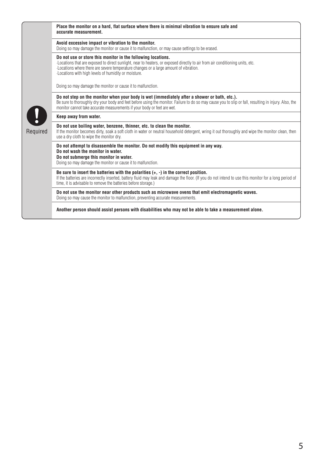|          | Place the monitor on a hard, flat surface where there is minimal vibration to ensure safe and<br>accurate measurement.                                                                                                                                                                                                                       |
|----------|----------------------------------------------------------------------------------------------------------------------------------------------------------------------------------------------------------------------------------------------------------------------------------------------------------------------------------------------|
| Required | Avoid excessive impact or vibration to the monitor.<br>Doing so may damage the monitor or cause it to malfunction, or may cause settings to be erased.                                                                                                                                                                                       |
|          | Do not use or store this monitor in the following locations.<br>Locations that are exposed to direct sunlight, near to heaters, or exposed directly to air from air conditioning units, etc.<br>Locations where there are severe temperature changes or a large amount of vibration.<br>-Locations with high levels of humidity or moisture. |
|          | Doing so may damage the monitor or cause it to malfunction.                                                                                                                                                                                                                                                                                  |
|          | Do not step on the monitor when your body is wet (immediately after a shower or bath, etc.).<br>Be sure to thoroughly dry your body and feet before using the monitor. Failure to do so may cause you to slip or fall, resulting in injury. Also, the<br>monitor cannot take accurate measurements if your body or feet are wet.             |
|          | Keep away from water.                                                                                                                                                                                                                                                                                                                        |
|          | Do not use boiling water, benzene, thinner, etc. to clean the monitor.<br>If the monitor becomes dirty, soak a soft cloth in water or neutral household detergent, wring it out thoroughly and wipe the monitor clean, then<br>use a dry cloth to wipe the monitor dry.                                                                      |
|          | Do not attempt to disassemble the monitor. Do not modify this equipment in any way.<br>Do not wash the monitor in water.<br>Do not submerge this monitor in water.<br>Doing so may damage the monitor or cause it to malfunction.                                                                                                            |
|          | Be sure to insert the batteries with the polarities $(+, -)$ in the correct position.<br>If the batteries are incorrectly inserted, battery fluid may leak and damage the floor. (If you do not intend to use this monitor for a long period of<br>time, it is advisable to remove the batteries before storage.)                            |
|          | Do not use the monitor near other products such as microwave ovens that emit electromagnetic waves.<br>Doing so may cause the monitor to malfunction, preventing accurate measurements.                                                                                                                                                      |
|          | Another person should assist persons with disabilities who may not be able to take a measurement alone.                                                                                                                                                                                                                                      |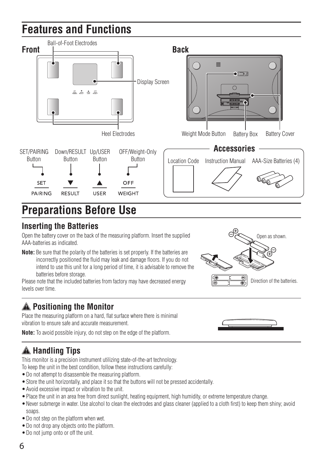### **Features and Functions**



### **Preparations Before Use**

### **Inserting the Batteries**

Open the battery cover on the back of the measuring platform. Insert the supplied AAA-batteries as indicated.

**Note:** Be sure that the polarity of the batteries is set properly. If the batteries are incorrectly positioned the fluid may leak and damage floors. If you do not intend to use this unit for a long period of time, it is advisable to remove the batteries before storage.

Please note that the included batteries from factory may have decreased energy levels over time.

### **Positioning the Monitor**

Place the measuring platform on a hard, flat surface where there is minimal vibration to ensure safe and accurate measurement.

**Note:** To avoid possible injury, do not step on the edge of the platform.

### **Handling Tips**

This monitor is a precision instrument utilizing state-of-the-art technology.

To keep the unit in the best condition, follow these instructions carefully:

- •Do not attempt to disassemble the measuring platform.
- •Store the unit horizontally, and place it so that the buttons will not be pressed accidentally.
- •Avoid excessive impact or vibration to the unit.
- •Place the unit in an area free from direct sunlight, heating equipment, high humidity, or extreme temperature change.
- •Never submerge in water. Use alcohol to clean the electrodes and glass cleaner (applied to a cloth first) to keep them shiny; avoid soaps.
- •Do not step on the platform when wet.
- •Do not drop any objects onto the platform.
- •Do not jump onto or off the unit.



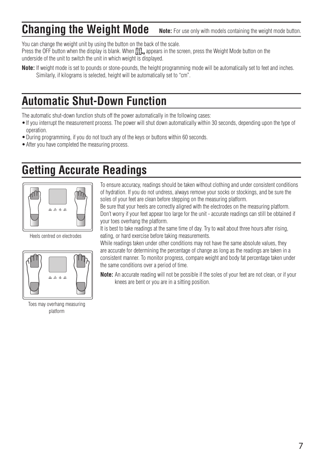#### **Changing the Weight Mode Note:** For use only with models containing the weight mode button.

You can change the weight unit by using the button on the back of the scale. Press the OFF button when the display is blank. When  $\prod_{k=1}^n$  appears in the screen, press the Weight Mode button on the underside of the unit to switch the unit in which weight is displayed.

**Note:** If weight mode is set to pounds or stone-pounds, the height programming mode will be automatically set to feet and inches. Similarly, if kilograms is selected, height will be automatically set to "cm".

### **Automatic Shut-Down Function**

The automatic shut-down function shuts off the power automatically in the following cases:

- •If you interrupt the measurement process. The power will shut down automatically within 30 seconds, depending upon the type of operation.
- •During programming, if you do not touch any of the keys or buttons within 60 seconds.
- •After you have completed the measuring process.

### **Getting Accurate Readings**



Heels centred on electrodes



Toes may overhang measuring platform

To ensure accuracy, readings should be taken without clothing and under consistent conditions of hydration. If you do not undress, always remove your socks or stockings, and be sure the soles of your feet are clean before stepping on the measuring platform.

Be sure that your heels are correctly aligned with the electrodes on the measuring platform. Don't worry if your feet appear too large for the unit - accurate readings can still be obtained if your toes overhang the platform.

It is best to take readings at the same time of day. Try to wait about three hours after rising, eating, or hard exercise before taking measurements.

While readings taken under other conditions may not have the same absolute values, they are accurate for determining the percentage of change as long as the readings are taken in a consistent manner. To monitor progress, compare weight and body fat percentage taken under the same conditions over a period of time.

**Note:** An accurate reading will not be possible if the soles of your feet are not clean, or if your knees are bent or you are in a sitting position.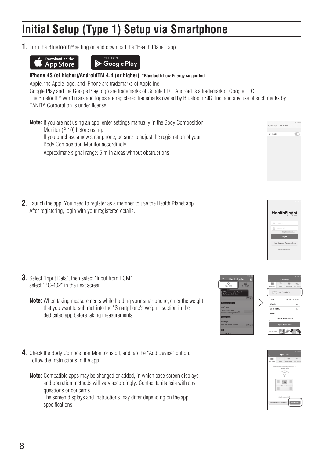### **Initial Setup (Type 1) Setup via Smartphone**

**1.** Turn the Bluetooth® setting on and download the "Health Planet" app.





#### **iPhone 4S (of higher)/AndroidTM 4.4 (or higher) \*Bluetooth Low Energy supported**

Apple, the Apple logo, and iPhone are trademarks of Apple Inc.

Google Play and the Google Play logo are trademarks of Google LLC. Android is a trademark of Google LLC.

The Bluetooth® word mark and logos are registered trademarks owned by Bluetooth SIG, Inc. and any use of such marks by TANITA Corporation is under license.

**Note:** If you are not using an app, enter settings manually in the Body Composition Monitor (P.10) before using. If you purchase a new smartphone, be sure to adjust the registration of your Body Composition Monitor accordingly.

Approximate signal range: 5 m in areas without obstructions

**2.** Launch the app. You need to register as a member to use the Health Planet app. After registering, login with your registered details.

- **3.** Select "Input Data", then select "Input from BCM". select "BC-402" in the next screen.
	- **Note:** When taking measurements while holding your smartphone, enter the weight that you want to subtract into the "Smartphone's weight" section in the dedicated app before taking measurements.
- **4.** Check the Body Composition Monitor is off, and tap the "Add Device" button. Follow the instructions in the app.
	- **Note:** Compatible apps may be changed or added, in which case screen displays and operation methods will vary accordingly. Contact tanita.asia with any questions or concerns. The screen displays and instructions may differ depending on the app

specifications.







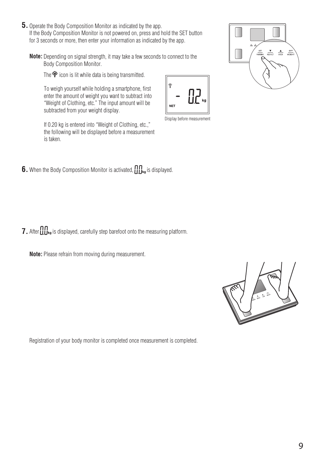- **5.** Operate the Body Composition Monitor as indicated by the app. If the Body Composition Monitor is not powered on, press and hold the SET button for 3 seconds or more, then enter your information as indicated by the app.
	- **Note:** Depending on signal strength, it may take a few seconds to connect to the Body Composition Monitor.

The  $\hat{\mathcal{F}}$  icon is lit while data is being transmitted.

To weigh yourself while holding a smartphone, first enter the amount of weight you want to subtract into "Weight of Clothing, etc." The input amount will be subtracted from your weight display.

If 0.20 kg is entered into "Weight of Clothing, etc.," the following will be displayed before a measurement is taken.

**6.** When the Body Composition Monitor is activated,  $\iiint_{\mathbf{kg}}$  is displayed.

**7.** After  $\iiint_{\mathbf{k}_0}$  is displayed, carefully step barefoot onto the measuring platform.

**Note:** Please refrain from moving during measurement.

Registration of your body monitor is completed once measurement is completed.





Display before measurement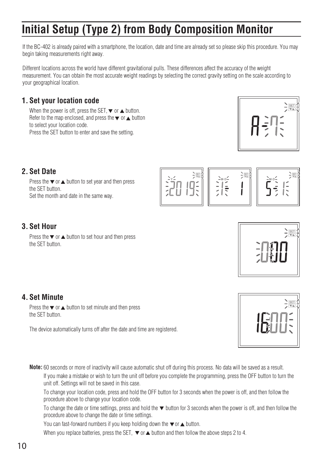### **Initial Setup (Type 2) from Body Composition Monitor**

If the BC-402 is already paired with a smartphone, the location, date and time are already set so please skip this procedure. You may begin taking measurements right away.

Different locations across the world have different gravitational pulls. These differences affect the accuracy of the weight measurement. You can obtain the most accurate weight readings by selecting the correct gravity setting on the scale according to your geographical location.

#### **1. Set your location code**

When the power is off, press the SET  $\blacktriangledown$  or  $\blacktriangle$  button. Refer to the map enclosed, and press the  $\blacktriangledown$  or  $\blacktriangle$  button to select your location code. Press the SET button to enter and save the setting.



#### **2. Set Date**

Press the  $\blacktriangledown$  or  $\blacktriangle$  button to set year and then press the SET button Set the month and date in the same way.



#### **3. Set Hour**

Press the  $\blacktriangledown$  or  $\blacktriangle$  button to set hour and then press the SET button.

#### **4. Set Minute**

Press the  $\blacktriangledown$  or  $\blacktriangle$  button to set minute and then press the SET button.

The device automatically turns off after the date and time are registered.

**Note:** 60 seconds or more of inactivity will cause automatic shut off during this process. No data will be saved as a result.

If you make a mistake or wish to turn the unit off before you complete the programming, press the OFF button to turn the unit off. Settings will not be saved in this case.

To change your location code, press and hold the OFF button for 3 seconds when the power is off, and then follow the procedure above to change your location code.

To change the date or time settings, press and hold the  $\blacktriangledown$  button for 3 seconds when the power is off, and then follow the procedure above to change the date or time settings.

You can fast-forward numbers if you keep holding down the  $\blacktriangledown$  or  $\blacktriangle$  button.

When you replace batteries, press the SET,  $\blacktriangledown$  or  $\blacktriangle$  button and then follow the above steps 2 to 4.

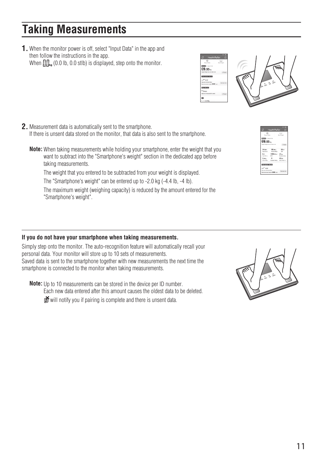**1.** When the monitor power is off, select "Input Data" in the app and then follow the instructions in the app. When  $\prod_{k=1}^n (0.0 \text{ lb}, 0.0 \text{ stlb})$  is displayed, step onto the monitor.

- **2.** Measurement data is automatically sent to the smartphone. If there is unsent data stored on the monitor, that data is also sent to the smartphone.
	- **Note:** When taking measurements while holding your smartphone, enter the weight that you want to subtract into the "Smartphone's weight" section in the dedicated app before taking measurements.

The weight that you entered to be subtracted from your weight is displayed.

The "Smartphone's weight" can be entered up to -2.0 kg (-4.4 lb, -4 lb).

The maximum weight (weighing capacity) is reduced by the amount entered for the "Smartphone's weight".

#### **If you do not have your smartphone when taking measurements.**

Simply step onto the monitor. The auto-recognition feature will automatically recall your personal data. Your monitor will store up to 10 sets of measurements. Saved data is sent to the smartphone together with new measurements the next time the smartphone is connected to the monitor when taking measurements.

**Note:** Up to 10 measurements can be stored in the device per ID number. Each new data entered after this amount causes the oldest data to be deleted. will notify you if pairing is complete and there is unsent data.





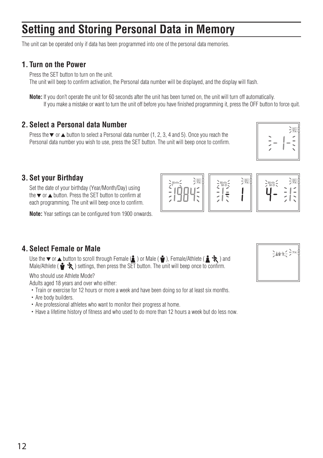### **Setting and Storing Personal Data in Memory**

The unit can be operated only if data has been programmed into one of the personal data memories.

#### **1. Turn on the Power**

Press the SFT button to turn on the unit.

The unit will beep to confirm activation, the Personal data number will be displayed, and the display will flash.

**Note:** If you don't operate the unit for 60 seconds after the unit has been turned on, the unit will turn off automatically. If you make a mistake or want to turn the unit off before you have finished programming it, press the OFF button to force quit.

#### **2. Select a Personal data Number**

Press the  $\blacktriangledown$  or  $\blacktriangle$  button to select a Personal data number (1, 2, 3, 4 and 5). Once you reach the Personal data number you wish to use, press the SET button. The unit will beep once to confirm.

|  | SET<br>TVA<br>× |
|--|-----------------|
|--|-----------------|

#### **3. Set your Birthday**

Set the date of your birthday (Year/Month/Day) using the  $\blacktriangledown$  or  $\blacktriangle$  button. Press the SET button to confirm at each programming. The unit will beep once to confirm.

**Note:** Year settings can be configured from 1900 onwards.



#### **4. Select Female or Male**

Use the  $\blacktriangledown$  or  $\blacktriangle$  button to scroll through Female ( $\blacktriangle$ ) or Male ( $\blacktriangledown$ ). Female/Athlete ( $\blacktriangle$  $\blacktriangledown$  $\blacktriangledown$ ) and Male/Athlete ( $\bullet\bullet\bullet$ ) settings, then press the SET button. The unit will beep once to confirm.

Who should use Athlete Mode?

Adults aged 18 years and over who either:

- ・Train or exercise for 12 hours or more a week and have been doing so for at least six months.
- ・Are body builders.
- ・Are professional athletes who want to monitor their progress at home.
- ・Have a lifetime history of fitness and who used to do more than 12 hours a week but do less now.

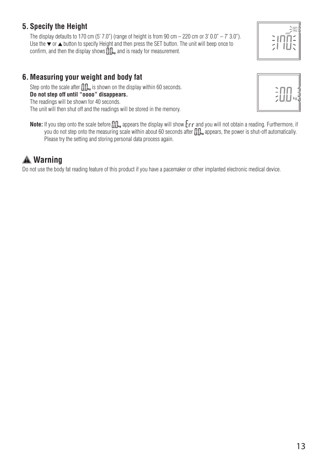The display defaults to 170 cm (5' 7.0") (range of height is from 90 cm  $-$  220 cm or 3' 0.0"  $-$  7' 3.0"). Use the  $\blacktriangledown$  or  $\blacktriangle$  button to specify Height and then press the SET button. The unit will beep once to confirm, and then the display shows  $\prod_{k=1}^{\infty}$  and is ready for measurement.

### **6. Measuring your weight and body fat**

Step onto the scale after  $\iint_{\mathbf{k_0}}$  is shown on the display within 60 seconds. **Do not step off until "oooo" disappears.** The readings will be shown for 40 seconds. The unit will then shut off and the readings will be stored in the memory.



Note: If you step onto the scale before  $\prod_{k=1}^n$  appears the display will show  $\epsilon$ r and you will not obtain a reading. Furthermore, if  $\gamma$  you do not step onto the measuring scale within about 60 seconds after  $\prod_{k=1}^{\infty}$  appears, the power is shut-off automatically. Please try the setting and storing personal data process again.

### **Warning**

Do not use the body fat reading feature of this product if you have a pacemaker or other implanted electronic medical device.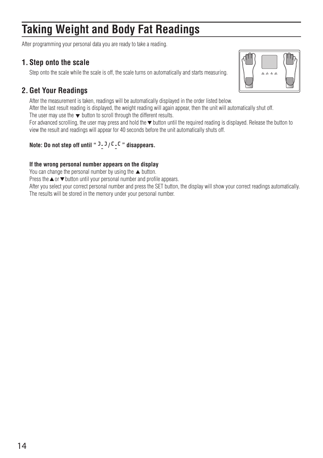### **Taking Weight and Body Fat Readings**

After programming your personal data you are ready to take a reading.

#### **1. Step onto the scale**

Step onto the scale while the scale is off, the scale turns on automatically and starts measuring.

#### **2. Get Your Readings**



After the measurement is taken, readings will be automatically displayed in the order listed below.

After the last result reading is displayed, the weight reading will again appear, then the unit will automatically shut off.

The user may use the  $\blacktriangledown$  button to scroll through the different results.

For advanced scrolling, the user may press and hold the  $\blacktriangledown$  button until the required reading is displayed. Release the button to view the result and readings will appear for 40 seconds before the unit automatically shuts off.

#### **Note: Do not step off until " 3-3/C-C " disappears.**

#### **If the wrong personal number appears on the display**

You can change the personal number by using the  $\blacktriangle$  button.

Press the  $\triangle$  or  $\nabla$  button until your personal number and profile appears.

After you select your correct personal number and press the SET button, the display will show your correct readings automatically. The results will be stored in the memory under your personal number.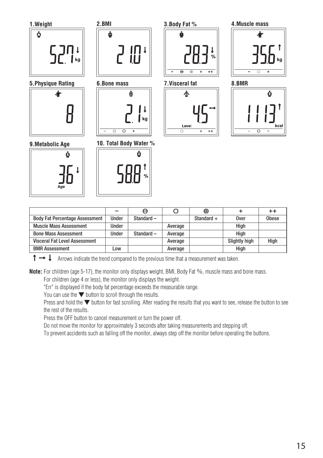

|                                       | -     |           |         | ⊕            |               | $^{\mathrm{+}}$ |
|---------------------------------------|-------|-----------|---------|--------------|---------------|-----------------|
| <b>Body Fat Percentage Assessment</b> | Under | Standard- |         | Standard $+$ | Over          | <b>Obese</b>    |
| <b>Muscle Mass Assessment</b>         | Under |           | Average |              | Hiah          |                 |
| <b>Bone Mass Assessment</b>           | Under | Standard- | Average |              | Hiah          |                 |
| <b>Visceral Fat Level Assessment</b>  |       |           | Average |              | Slightly high | High            |
| <b>BMR Assessment</b>                 | LOW.  |           | Average |              | Hiah          |                 |

 $\uparrow \rightarrow \downarrow$  Arrows indicate the trend compared to the previous time that a measurement was taken.

**Note:** For children (age 5-17), the monitor only displays weight, BMI, Body Fat %, muscle mass and bone mass.

For children (age 4 or less), the monitor only displays the weight.

"Err" is displayed if the body fat percentage exceeds the measurable range.

You can use the ▼ button to scroll through the results.

Press and hold the ▼ button for fast scrolling. After reading the results that you want to see, release the button to see the rest of the results.

Press the OFF button to cancel measurement or turn the power off.

Do not move the monitor for approximately 3 seconds after taking measurements and stepping off.

To prevent accidents such as falling off the monitor, always step off the monitor before operating the buttons.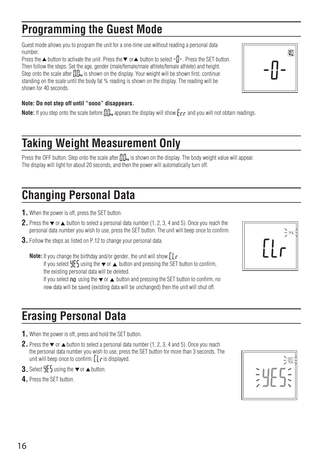### **Programming the Guest Mode**

Guest mode allows you to program the unit for a one-time use without reading a personal data number.

Press the  $\triangle$  button to activate the unit. Press the  $\nabla$  or  $\triangle$  button to select  $-\Pi$ -. Press the SET button. Then follow the steps: Set the age, gender (male/female/male athlete/female athlete) and height. Step onto the scale after  $\iint_{\mathbf{k}_0}$  is shown on the display. Your weight will be shown first, continue standing on the scale until the body fat % reading is shown on the display. The reading will be shown for 40 seconds.

#### **Note: Do not step off until "oooo" disappears.**

**Note:** If you step onto the scale before  $\Pi\mathbb{L}$  appears the display will show  $\mathsf{F}_{\mathsf{C}}\mathsf{F}$  and you will not obtain readings.

### **Taking Weight Measurement Only**

Press the OFF button. Step onto the scale after  $\prod_{k=1}^n S_k$  is shown on the display. The body weight value will appear. The display will light for about 20 seconds, and then the power will automatically turn off.

### **Changing Personal Data**

- **1.** When the power is off, press the SET button.
- **2.** Press the  $\blacktriangledown$  or  $\blacktriangle$  button to select a personal data number (1, 2, 3, 4 and 5). Once you reach the personal data number you wish to use, press the SET button. The unit will beep once to confirm.
- **3.** Follow the steps as listed on P.12 to change your personal data.

**Note:** If you change the birthday and/or gender, the unit will show  $\iint_R f$ . If you select  $4F_5$  using the  $\bullet$  or  $\bullet$  button and pressing the SET button to confirm, the existing personal data will be deleted. If you select  $\eta \rho$  using the  $\blacktriangledown$  or  $\blacktriangle$  button and pressing the SET button to confirm, no new data will be saved (existing data will be unchanged) then the unit will shut off.

### **Erasing Personal Data**

- **1.** When the power is off, press and hold the SET button.
- **2.** Press the  $\blacktriangledown$  or  $\blacktriangle$  button to select a personal data number (1, 2, 3, 4 and 5). Once you reach the personal data number you wish to use, press the SET button for more than 3 seconds. The unit will beep once to confirm.  $\iint_{\mathcal{L}}$  is displayed.
- **3.** Select  $\frac{11}{2}$  using the  $\blacktriangledown$  or  $\blacktriangle$  button.
- **4.** Press the SET button.





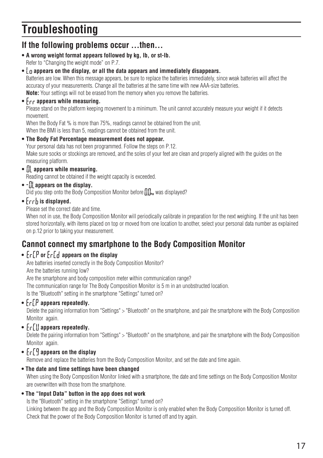### **Troubleshooting**

#### **If the following problems occur …then…**

**• A wrong weight format appears followed by kg, lb, or st-lb.** Refer to "Changing the weight mode" on P.7.

#### **• appears on the display, or all the data appears and immediately disappears.**

Batteries are low. When this message appears, be sure to replace the batteries immediately, since weak batteries will affect the accuracy of your measurements. Change all the batteries at the same time with new AAA-size batteries. **Note:** Your settings will not be erased from the memory when you remove the batteries.

#### • Fee appears while measuring.

Please stand on the platform keeping movement to a minimum. The unit cannot accurately measure your weight if it detects movement.

When the Body Fat % is more than 75%, readings cannot be obtained from the unit. When the BMI is less than 5, readings cannot be obtained from the unit.

**• The Body Fat Percentage measurement does not appear.**

Your personal data has not been programmed. Follow the steps on P.12. Make sure socks or stockings are removed, and the soles of your feet are clean and properly aligned with the guides on the measuring platform.

 $\cdot$  *n* appears while measuring.

Reading cannot be obtained if the weight capacity is exceeded.

**• appears on the display.**

Did you step onto the Body Composition Monitor before  $\prod_{k=1}^n$  was displayed?

**•** Frrh is displayed.

Please set the correct date and time.

When not in use, the Body Composition Monitor will periodically calibrate in preparation for the next weighing. If the unit has been stored horizontally, with items placed on top or moved from one location to another, select your personal data number as explained on p.12 prior to taking your measurement.

### **Cannot connect my smartphone to the Body Composition Monitor**

#### •  $\lceil r \rceil$  or  $\lceil r \rceil$  appears on the display

Are batteries inserted correctly in the Body Composition Monitor?

Are the batteries running low?

Are the smartphone and body composition meter within communication range?

The communication range for The Body Composition Monitor is 5 m in an unobstructed location.

Is the "Bluetooth" setting in the smartphone "Settings" turned on?

#### •  $F \cap P$  appears repeatedly.

 Delete the pairing information from "Settings" > "Bluetooth" on the smartphone, and pair the smartphone with the Body Composition Monitor again.

#### • *trll* appears repeatedly.

 Delete the pairing information from "Settings" > "Bluetooth" on the smartphone, and pair the smartphone with the Body Composition Monitor again.

#### **•**  $F_f$  **appears on the display**

Remove and replace the batteries from the Body Composition Monitor, and set the date and time again.

#### **• The date and time settings have been changed**

 When using the Body Composition Monitor linked with a smartphone, the date and time settings on the Body Composition Monitor are overwritten with those from the smartphone.

#### **• The "Input Data" button in the app does not work**

Is the "Bluetooth" setting in the smartphone "Settings" turned on?

 Linking between the app and the Body Composition Monitor is only enabled when the Body Composition Monitor is turned off. Check that the power of the Body Composition Monitor is turned off and try again.